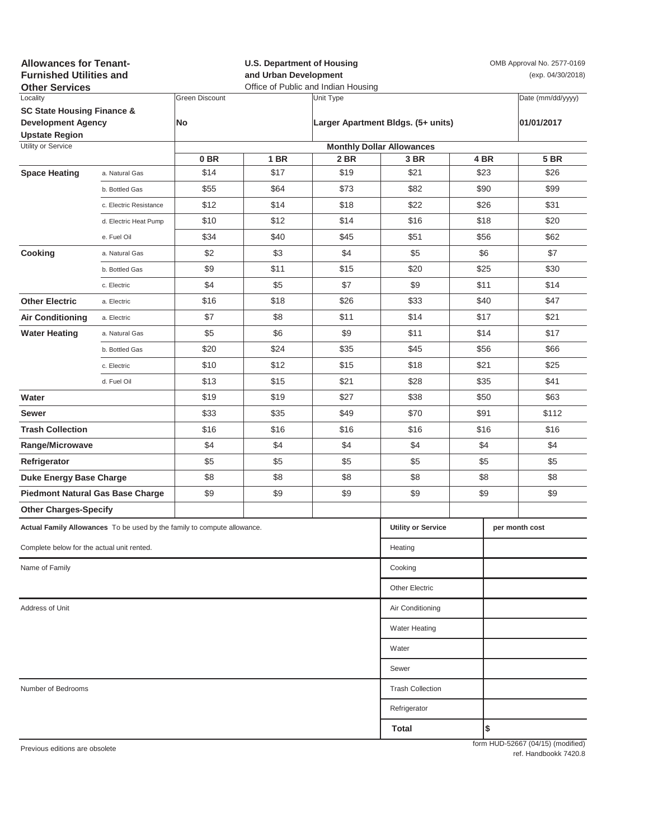| <b>Allowances for Tenant-</b><br><b>Furnished Utilities and</b><br><b>Other Services</b> |                         | <b>U.S. Department of Housing</b><br>and Urban Development<br>Office of Public and Indian Housing |             |                                    |                                  | OMB Approval No. 2577-0169<br>(exp. 04/30/2018) |      |                                   |
|------------------------------------------------------------------------------------------|-------------------------|---------------------------------------------------------------------------------------------------|-------------|------------------------------------|----------------------------------|-------------------------------------------------|------|-----------------------------------|
| Locality                                                                                 |                         | <b>Green Discount</b>                                                                             |             | Unit Type                          |                                  |                                                 |      | Date (mm/dd/yyyy)                 |
| <b>SC State Housing Finance &amp;</b><br><b>Development Agency</b>                       |                         | No                                                                                                |             | Larger Apartment Bldgs. (5+ units) |                                  |                                                 |      | 01/01/2017                        |
| <b>Upstate Region</b><br>Utility or Service                                              |                         |                                                                                                   |             |                                    | <b>Monthly Dollar Allowances</b> |                                                 |      |                                   |
|                                                                                          |                         | 0 <sub>BR</sub>                                                                                   | <b>1 BR</b> | 2 BR                               | 3 BR                             |                                                 | 4 BR | <b>5 BR</b>                       |
| <b>Space Heating</b>                                                                     | a. Natural Gas          | \$14                                                                                              | \$17        | \$19                               | \$21                             |                                                 | \$23 | \$26                              |
|                                                                                          | b. Bottled Gas          | \$55                                                                                              | \$64        | \$73                               | \$82                             |                                                 | \$90 | \$99                              |
|                                                                                          | c. Electric Resistance  | \$12                                                                                              | \$14        | \$18                               | \$22                             | \$26                                            |      | \$31                              |
|                                                                                          | d. Electric Heat Pump   | \$10                                                                                              | \$12        | \$14                               | \$16                             | \$18                                            |      | \$20                              |
|                                                                                          | e. Fuel Oil             | \$34                                                                                              | \$40        | \$45                               | \$51                             |                                                 | \$56 | \$62                              |
| Cooking                                                                                  | a. Natural Gas          | \$2                                                                                               | \$3         | \$4                                | \$5                              | \$6                                             |      | \$7                               |
|                                                                                          | b. Bottled Gas          | \$9                                                                                               | \$11        | \$15                               | \$20                             | \$25                                            |      | \$30                              |
|                                                                                          | c. Electric             | \$4                                                                                               | \$5         | \$7                                | \$9                              |                                                 | \$11 | \$14                              |
| <b>Other Electric</b>                                                                    | a. Electric             | \$16                                                                                              | \$18        | \$26                               | \$33                             | \$40                                            |      | \$47                              |
| <b>Air Conditioning</b>                                                                  | a. Electric             | \$7                                                                                               | \$8         | \$11                               | \$14                             | \$17                                            |      | \$21                              |
| <b>Water Heating</b>                                                                     | a. Natural Gas          | \$5                                                                                               | \$6         | \$9                                | \$11                             | \$14                                            |      | \$17                              |
|                                                                                          | b. Bottled Gas          | \$20                                                                                              | \$24        | \$35                               | \$45                             |                                                 | \$56 | \$66                              |
|                                                                                          | c. Electric             | \$10                                                                                              | \$12        | \$15                               | \$18                             |                                                 | \$21 | \$25                              |
|                                                                                          | d. Fuel Oil             | \$13                                                                                              | \$15        | \$21                               | \$28                             |                                                 | \$35 | \$41                              |
| Water                                                                                    |                         | \$19                                                                                              | \$19        | \$27                               | \$38                             |                                                 | \$50 | \$63                              |
| Sewer                                                                                    |                         | \$33                                                                                              | \$35        | \$49                               | \$70                             |                                                 | \$91 | \$112                             |
| <b>Trash Collection</b>                                                                  |                         | \$16                                                                                              | \$16        | \$16                               | \$16                             | \$16                                            |      | \$16                              |
| Range/Microwave                                                                          |                         | \$4                                                                                               | \$4         | \$4                                | \$4                              | \$4                                             |      | \$4                               |
| Refrigerator                                                                             |                         | \$5                                                                                               | \$5         | \$5                                | \$5                              | \$5                                             |      | \$5                               |
| <b>Duke Energy Base Charge</b>                                                           |                         | \$8                                                                                               | \$8         | \$8                                | \$8                              | \$8                                             |      | \$8                               |
| <b>Piedmont Natural Gas Base Charge</b>                                                  |                         | \$9                                                                                               | \$9         | \$9                                | \$9                              | \$9                                             |      | \$9                               |
| <b>Other Charges-Specify</b>                                                             |                         |                                                                                                   |             |                                    |                                  |                                                 |      |                                   |
| Actual Family Allowances To be used by the family to compute allowance.                  |                         |                                                                                                   |             |                                    | <b>Utility or Service</b>        |                                                 |      | per month cost                    |
| Complete below for the actual unit rented.                                               |                         |                                                                                                   |             |                                    | Heating                          |                                                 |      |                                   |
| Name of Family                                                                           |                         |                                                                                                   |             |                                    | Cooking                          |                                                 |      |                                   |
|                                                                                          |                         |                                                                                                   |             |                                    | <b>Other Electric</b>            |                                                 |      |                                   |
| Address of Unit                                                                          | Air Conditioning        |                                                                                                   |             |                                    |                                  |                                                 |      |                                   |
|                                                                                          |                         |                                                                                                   |             |                                    | <b>Water Heating</b>             |                                                 |      |                                   |
|                                                                                          |                         |                                                                                                   |             |                                    | Water                            |                                                 |      |                                   |
|                                                                                          |                         |                                                                                                   |             |                                    | Sewer                            |                                                 |      |                                   |
| Number of Bedrooms                                                                       | <b>Trash Collection</b> |                                                                                                   |             |                                    |                                  |                                                 |      |                                   |
|                                                                                          |                         |                                                                                                   |             |                                    | Refrigerator                     |                                                 |      |                                   |
|                                                                                          |                         |                                                                                                   |             |                                    | Total                            |                                                 | \$   |                                   |
| Previous editions are obsolete                                                           |                         |                                                                                                   |             |                                    |                                  |                                                 |      | form HUD-52667 (04/15) (modified) |